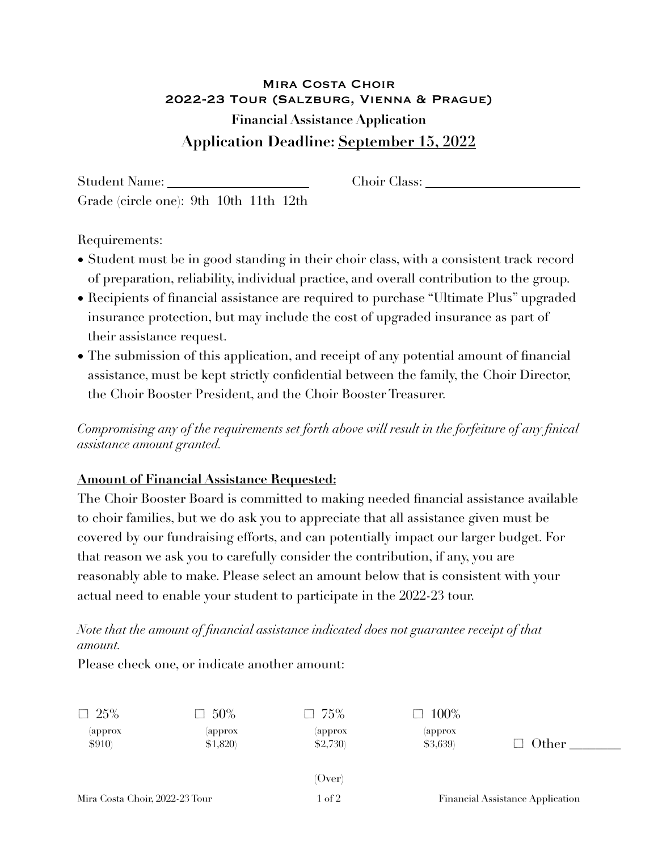## Mira Costa Choir 2022-23 Tour (Salzburg, Vienna & Prague) **Financial Assistance Application Application Deadline: September 15, 2022**

Student Name: Choir Class: Choir Class: Grade (circle one): 9th 10th 11th 12th

Requirements:

- Student must be in good standing in their choir class, with a consistent track record of preparation, reliability, individual practice, and overall contribution to the group.
- Recipients of financial assistance are required to purchase "Ultimate Plus" upgraded insurance protection, but may include the cost of upgraded insurance as part of their assistance request.
- The submission of this application, and receipt of any potential amount of financial assistance, must be kept strictly confidential between the family, the Choir Director, the Choir Booster President, and the Choir Booster Treasurer.

*Compromising any of the requirements set forth above will result in the forfeiture of any finical assistance amount granted.* 

## **Amount of Financial Assistance Requested:**

The Choir Booster Board is committed to making needed financial assistance available to choir families, but we do ask you to appreciate that all assistance given must be covered by our fundraising efforts, and can potentially impact our larger budget. For that reason we ask you to carefully consider the contribution, if any, you are reasonably able to make. Please select an amount below that is consistent with your actual need to enable your student to participate in the 2022-23 tour.

*Note that the amount of financial assistance indicated does not guarantee receipt of that amount.* 

Please check one, or indicate another amount:

| $\Box$ 25%                     | $\Box$ 50%          | $\Box$ 75%           | $\Box$ 100%                      |       |
|--------------------------------|---------------------|----------------------|----------------------------------|-------|
| (approx<br><b>\$910)</b>       | (approx<br>\$1,820) | (approx)<br>\$2,730) | (approx<br>\$3,639)              | Other |
|                                |                     |                      |                                  |       |
|                                |                     | (Over)               |                                  |       |
| Mira Costa Choir, 2022-23 Tour |                     | 1 of 2               | Financial Assistance Application |       |